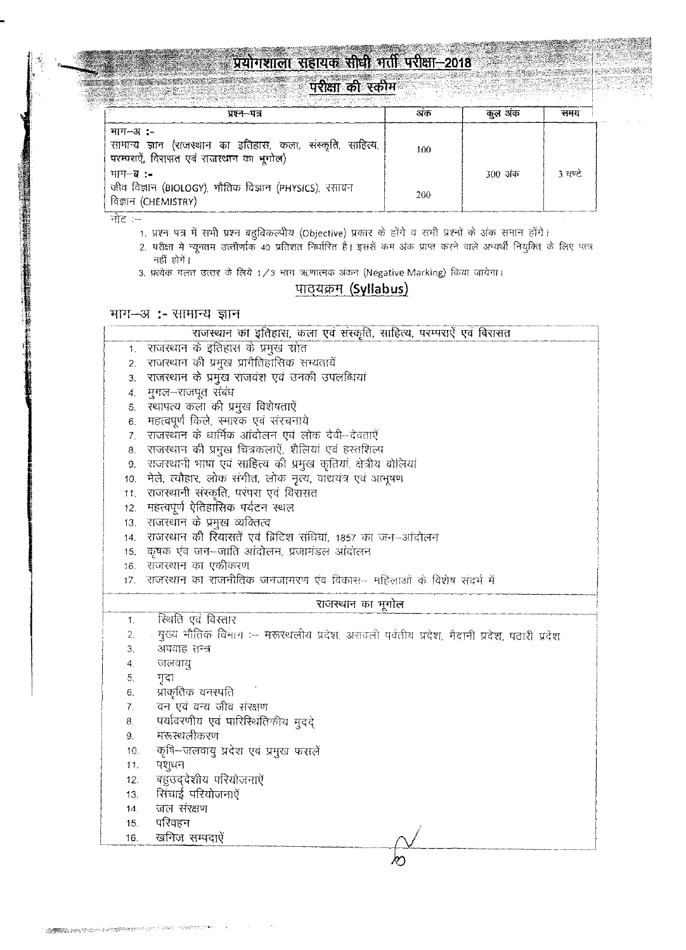# <u>प्रयोगशाला सहायक सीधी भर्ती परीक्षा-2018</u> **Section** North

# <u>परीक्षा की स्कीम</u>

888

| 94989294 AUBUARAHASA KATALORIAL PELILIPPI PELILIPUL LELELUA K<br><u> 1988 - 1988 - 1988 - 1988 - 1988 - 1988 - 1988 - 1988 - 1988 - 1988 - 1988 - 1988 - 1988 - 1988 - 1988 - 198</u><br>प्रश्न–पत्र | अक  | कल अंक  | समय     |
|------------------------------------------------------------------------------------------------------------------------------------------------------------------------------------------------------|-----|---------|---------|
| $777 - 31$ :-<br>सामान्य ज्ञान (राजस्थान का इतिहास, कला, संस्कृति, साहित्य,<br>परम्पराऐं, विरासत एवं राजस्थान का भूगोल)                                                                              | 100 |         |         |
| माग—ब ∶–<br>जीव विज्ञान (BIOLOGY), भौतिक विज्ञान (PHYSICS), रसायन                                                                                                                                    | 200 | 300 अंक | 3 घण्टे |
| विज्ञान (CHEMISTRY)                                                                                                                                                                                  |     |         |         |

नोट $=$ 

 $\mathcal{L} \subset \mathcal{L}$ 

1. प्रश्न पत्र में सभी प्रश्न बहुविकल्पीय (Objective) प्रकार के होंगे व सभी प्रश्नों के अंक समान होंगे।

2. परीक्षा में न्यूनतम उत्तीर्णाक 40 प्रतिशत निर्धारित हैं। इससे कम अंक प्राप्त करने वाले अभ्यर्थी नियुक्ति के लिए पात्र नहीं होगें।

3. प्रत्येक गलत उत्तर के लिये 1/3 भाग ऋणात्मक अंकन (Negative Marking) किया जायेगा।

# पाठ्यक्रम (Syllabus)

# भाग-अ:- सामान्य ज्ञान

|                  | राजस्थान का इतिहास, कला एवं संस्कृति, साहित्य, परम्पराऐं एवं विरासत                       |
|------------------|-------------------------------------------------------------------------------------------|
| 1.               | राजस्थान के इतिहास के प्रमुख स्रोत                                                        |
| 2.               | राजस्थान की प्रमुख प्रागैतिहासिक सभ्यतायें                                                |
| 3.               | राजस्थान के प्रमुख राजवंश एवं उनकी उपलब्धियां                                             |
| 4.               | मुगल–राजपूत संबंध                                                                         |
| 5.               | रथापत्य कला की प्रमुख विशेषताऐं                                                           |
| 6.               | महत्वपूर्ण किले, स्मारक एवं संरचनाये                                                      |
| $\overline{7}$ . | राजस्थान के धार्मिक आंदोलन एवं लोक देवी-देवताएँ                                           |
| 8.               | राजस्थान की प्रमुख चित्रकलाऐं, शैलियां एवं हस्तशिल्प                                      |
| 9.               | राजस्थानी भाषा एवं साहित्य की प्रमुख कृतियां, क्षेत्रीय बोलियां                           |
| 10.              | मेले, त्यौहार, लोक संगीत, लोक नृत्य, वाद्ययंत्र एवं आभूषण                                 |
| 11.              | राजस्थानी संस्कृति, परंपरा एवं विरासत                                                     |
| 12.              | महत्वपूर्ण ऐतिहासिक पर्यटन स्थल                                                           |
| 13.              | राजस्थान के प्रमुख व्यक्तित्व                                                             |
| 14.              | राजस्थान की रियासतें एवं ब्रिटिश संधियां, 1857 का जन-आंदोलन                               |
| 15.              | कृषक एवं जन–जाति आंदोलन, प्रजामंडल आंदोलन                                                 |
| 16.              | राजस्थान का एकीकरण                                                                        |
| 17.              | राजस्थान का राजनीतिक जनजागरण एवं विकास- महिलाओं के विशेष संदर्भ में                       |
|                  |                                                                                           |
|                  | राजस्थान का भूगोल                                                                         |
| 1.               | स्थिति एवं विस्तार                                                                        |
| 2.               | मुख्य भौतिक विभाग :-- मरूरथलीय प्रदेश, अरावली पर्वतीय प्रदेश, मैदानी प्रदेश, पठारी प्रदेश |
| З.               | अपवाह तन्त्र                                                                              |
| 4.               | जलवायु                                                                                    |
| 5.               | मृदा                                                                                      |
| 6.               | प्राकृतिक वनस्पति                                                                         |
| 7.               | वन एवं वन्य जीव संरक्षण                                                                   |
| 8.               | पर्यावरणीय एवं पारिस्थितिकीय मुददे                                                        |
| 9.               | मरूस्थलीकरण                                                                               |
| 10.              | कृषि–जलवायु प्रदेश एवं प्रमुख फसलें                                                       |
| 11.              | पशुधन                                                                                     |
| 12.              | बहुउद्देशीय परियोजनाएँ                                                                    |
| 13.              | सिंचाई परियोजनाएँ                                                                         |
| 14.              | जल संरक्षण                                                                                |
| 15.              | परिवहन                                                                                    |
| 16.              | खनिज सम्पदाऐं                                                                             |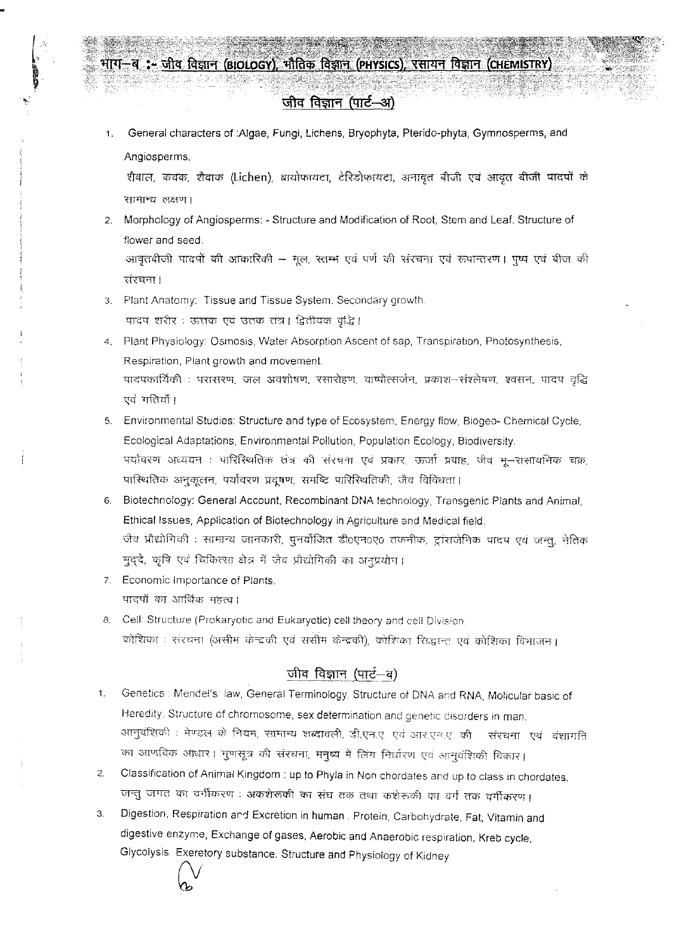# भाग-ब :- जीव विज्ञान (BIOLOGY), भौतिक विज्ञान (PHYSICS), रसायन विज्ञान (CHEMISTRY)

# जीव विज्ञान (पार्ट-अ)

1. General characters of :Algae, Fungi, Lichens, Bryophyta, Pterido-phyta, Gymnosperms, and Angiosperms.

शैवाल, कवक, शैवाक (Lichen), ब्रायोफायटा, टेरिडोफायटा, अनावृत बीजी एवं आवृत बीजी पादपों के सामान्य लक्षण।

- 2. Morphology of Angiosperms: Structure and Modification of Root, Stem and Leaf. Structure of flower and seed. आवृतवीजी पादपों की आकारिकी - मूल, स्तम्भ एवं पर्ण की संरचना एवं रूपान्तरण। पृष्प एवं बीज की
- 3. Plant Anatomy: Tissue and Tissue System. Secondary growth. पादप शरीर : ऊत्तक एवं उतक तंत्र। द्वितीयक वृद्धि।
- 4. Plant Physiology: Osmosis, Water Absorption Ascent of sap, Transpiration, Photosynthesis, Respiration, Plant growth and movement. पादपकार्यिकी : परासरण, जल अवशोषण, रसारोहण, वाष्पोत्सर्जन, प्रकाश—संश्लेषण, श्वसन, पादप वृद्धि एवं गतियाँ।
- 5. Environmental Studies: Structure and type of Ecosystem, Energy flow, Biogeo- Chemical Cycle, Ecological Adaptations, Environmental Pollution, Population Ecology, Biodiversity. पर्यावरण अध्ययन : पारिस्थितिक तंत्र की संरचना एवं प्रकार, ऊर्जा प्रवाह, जैव भू–रासायनिक चक्र, पास्थितिक अनुकूलन, पर्यावरण प्रदूषण, समष्टि पारिस्थितिकी, जैव विविधता।
- 6. Biotechnology: General Account, Recombinant DNA technology, Transgenic Plants and Animal, Ethical Issues, Application of Biotechnology in Agriculture and Medical field. जैव प्रौद्योगिकी : सामान्य जानकारी, पुनर्योजित डी0एन0ए0 तकनीक, ट्रांसजेनिक पादप एवं जन्तू, नेतिक मुद्दे, कृषि एवं चिकित्सा क्षेत्र में जैव प्रौद्योगिकी का अनुप्रयोग।
- 7. Economic Importance of Plants. पादपों का आर्थिक महत्व।

संस्चना।

8. Cell: Structure (Prokaryotic and Eukaryotic) cell theory and cell Division. कोशिका : संरचना (असीम केन्द्रकी एवं संसीम केन्द्रकी), कोशिका सिद्धान्त एवं कोशिका विभाजन।

# जीव विज्ञान (पार्ट—व)

- 1. Genetics: Mendel's law, General Terminology, Structure of DNA and RNA, Molicular basic of Heredity. Structure of chromosome, sex determination and genetic disorders in man. आनुवंशिकी : मेण्डल के नियम, सामान्य शब्दावली, डी.एन.ए. एवं आर.एन.ए. की - संरचना एवं -वंशागति का आणविक आधार। गुणसूत्र की संरचना, मनुष्य में लिंग निर्धारण एवं आनुवंशिकी विकार।
- Classification of Animal Kingdom : up to Phyla in Non chordates and up to class in chordates.  $\overline{2}$ . जन्तु जगत का वर्गीकरण : अकशेरूकी का संघ तक तथा कशेरूकी का वर्ग तक वर्गीकरण।
- Digestion, Respiration and Excretion in human. Protein, Carbohydrate, Fat, Vitamin and  $3.$ digestive enzyme, Exchange of gases, Aerobic and Anaerobic respiration, Kreb cycle, Glycolysis. Exeretory substance. Structure and Physiology of Kidney.

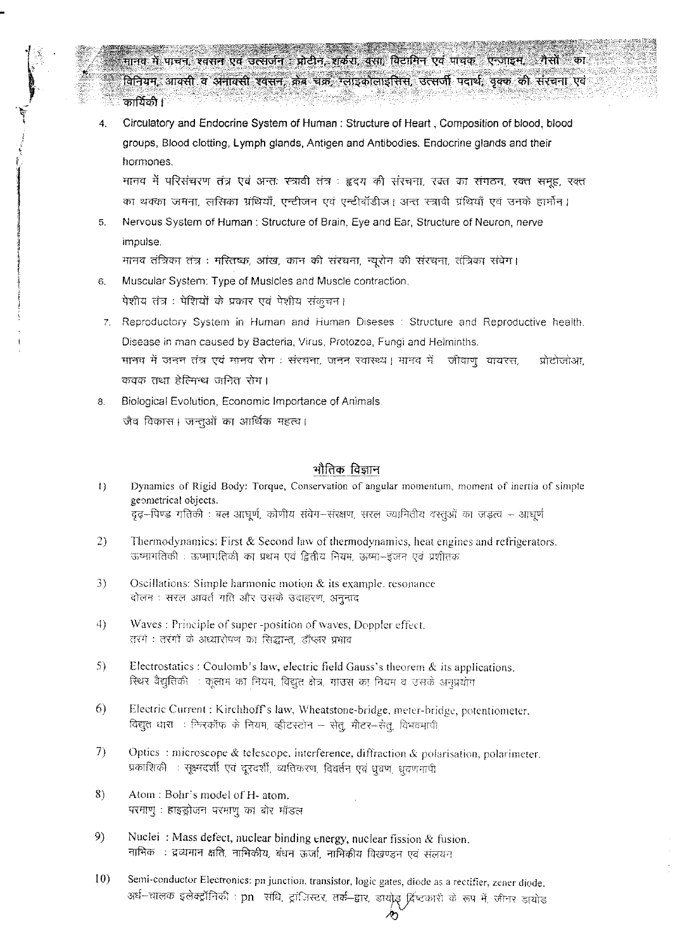मानव में पाचन, श्वसन एवं उत्सर्जन : प्रोटीन, शर्करा, वसा, विटामिन एवं पाचक : एन्जाइम, ंगैसों का विनियम, आक्सी व अनाक्सी श्वसन, क्रेब चक्र, ग्लाइकोलाइसिस, उत्सर्जी पदार्थ, वृक्क की संरचना एवं कार्यिकी ।

Circulatory and Endocrine System of Human : Structure of Heart, Composition of blood, blood 4. groups, Blood clotting, Lymph glands, Antigen and Antibodies. Endocrine glands and their hormones.

मानव में परिसंचरण तंत्र एवं अन्तः स्त्रावी तंत्र : हृदय की संरचना, रक्त का संगठन, रक्त समूह, रक्त का थक्का जमना, लसिका ग्रंथियाँ, एन्टीजन एवं एन्टीबॉडीज। अन्त स्त्रावी ग्रंथियाँ एवं उनके हार्मोन।

Nervous System of Human: Structure of Brain, Eye and Ear, Structure of Neuron, nerve  $5.$ impulse.

मानव तंत्रिका तंत्र : मरितष्क, आंख, कान की संरचना, न्यूरोन की संरचना, तंत्रिका संवेग।

- Muscular System: Type of Musicles and Muscle contraction.  $6.$ पेशीय तंत्र : पेशियों के प्रकार एवं पेशीय संकुचन।
- 7. Reproductory System in Human and Human Diseses : Structure and Reproductive health. Disease in man caused by Bacteria, Virus, Protozoa, Fungi and Helminths. मानव में जनन तंत्र एवं मानव रोग : संरचना, जनन स्वास्थ्य । मानव में जीवाणु वायरस, प्रोटोजोआ, कवक तथा हेल्मिन्थ जनित रोग।
- Biological Evolution, Economic Importance of Animals. 8. जैव विकास। जन्तुओं का आर्थिक महत्व।

### भौतिक विज्ञान

- Dynamics of Rigid Body: Torque, Conservation of angular momentum, moment of inertia of simple  $\left\{ \right\}$ geometrical objects. दृढ़-पिण्ड गतिकी : बल आधूर्ण, कोणीय संवेग-संरक्षण, सरल ज्यामितीय वस्तूओं का जड़त्व – आधर्ण
- Thermodynamics: First & Second law of thermodynamics, heat engines and refrigerators. 2) ऊष्मागतिकी : ऊष्मागतिकी का प्रथम एवं द्वितीय नियम, ऊष्मा-इंजन एवं प्रशीतक
- Oscillations: Simple harmonic motion & its example, resonance 3) दोलन : सरल आवर्त गति और उसके उदाहरण, अनुनाद
- 4) Waves: Principle of super-position of waves, Doppler effect. तरंगे : तरंगों के अध्यारोपण का सिद्धान्त, डॉप्लर प्रभाव
- 5) Electrostatics : Coulomb's law, electric field Gauss's theorem  $\&$  its applications. स्थिर वैद्युतिकी : कूलाम का नियम, विद्युत क्षेत्र, गाउस का नियम व उसके अनुप्रयोग
- 6) Electric Current : Kirchhoff's law, Wheatstone-bridge, meter-bridge, potentiometer, विद्युत धारा : फिरकॉफ के नियम, व्हीटस्टोन – सेतु, मीटर-सेतु, विभवमापी
- 7) Optics: microscope & telescope, interference, diffraction & polarisation, polarimeter. प्रकाशिकी : सूक्ष्मदर्शी एवं दूरदर्शी, व्यतिकरण, विवर्तन एवं धूवण, धूवणभापी
- 8) Atom: Bohr's model of H- atom. परमाणु : हाइड्रोजन परमाणु का बोर मॉडल
- 9) Nuclei: Mass defect, nuclear binding energy, nuclear fission & fusion. नाभिकः : द्रव्यमान क्षति, नाभिकीय, बंधन ऊर्जा, नाभिकीय विखण्डन एवं संलयन
- $10)$ Semi-conductor Electronics: pn junction, transistor, logic gates, diode as a rectifier, zener diode. अर्ध-चालक इलेक्ट्रॉनिकी : pn संधि, ट्रांजिस्टर, तर्क-द्वार, डायोड़ ब्रिष्टकारी के रूप में, जीनर डायोड

∕უ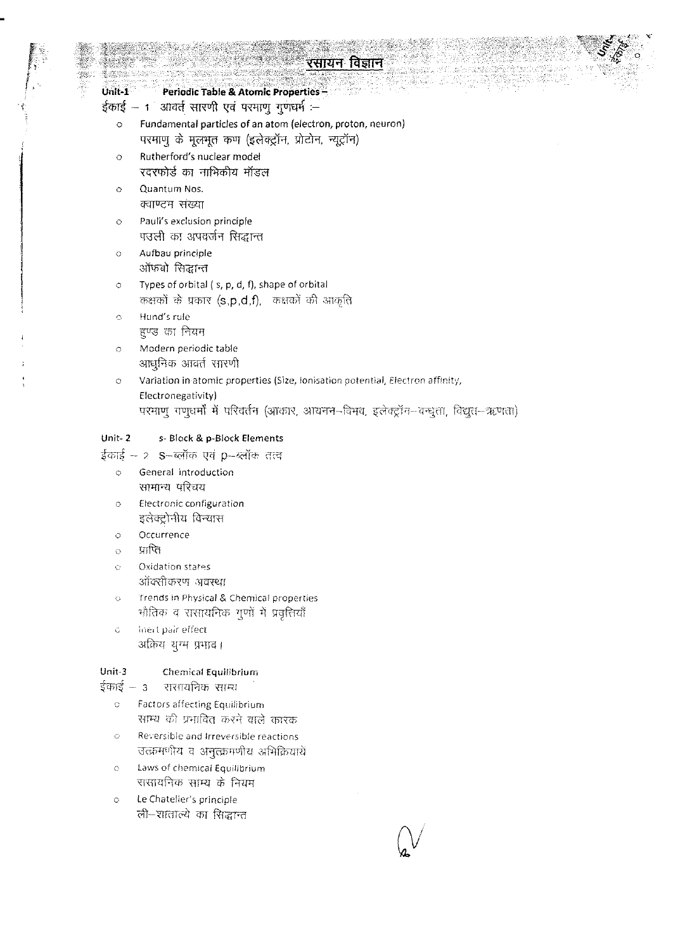# रसायन विज्ञान

#### $Unit-1$ **Periodic Table & Atomic Properties-**

ईकाई — 1 आवर्त सारणी एवं परमाणु गुणधर्म :-

- Fundamental particles of an atom (electron, proton, neuron)  $\ddot{\circ}$ परमाणु के मूलभूत कण (इलेक्ट्रॉन, प्रोटोन, न्यूट्रॉन)
- Rutherford's nuclear model  $\circ$ रदरफोर्ड का नाभिकीय मॉडल
- Quantum Nos.  $\circ$ क्वाण्टम संख्या
- Pauli's exclusion principle  $\circ$ पउली का अपवर्जन सिद्धान्त
- Aufbau principle  $\circ$ ऑफबो सिद्धान्त

Types of orbital (s, p, d, f), shape of orbital  $\circ$ कक्षकों के प्रकार (s,p,d,f), कक्षकों की आकृति

- Hund's rule  $\ddot{\circ}$ हुण्ड का नियम
- Modern periodic table  $\circ$ आधुनिक आवर्त सारणी
- Variation in atomic properties (Size, Ionisation potential, Electron affinity,  $\ddot{\circ}$ Electronegativity) परमाणु गणूधर्मौ में परिवर्तन (आकार, आयनन-विभव, इलेक्ट्रॉन-बन्धुता, विद्युत-ऋणता)

#### Unit- $2$ s- Block & p-Block Elements

- ईकाई 2 S-ब्लॉक एवं p-ब्लॉक तत्व
	- General introduction  $\circ$ सामान्य परिचय
	- Electronic configuration  $\ddot{\circ}$ इलेक्ट्रोनीय विन्यास
	- Occurrence  $\circ$
	- प्राप्ति  $\ddot{\circ}$
	- Oxidation states Ò
		- ऑक्सीकरण अवस्था
	- Trends in Physical & Chemical properties  $\circ$ भौतिक व रासायनिक गुणों में प्रवृत्तियाँ
	- Inert pair effect  $\tilde{\mathbb{C}}$ अक्रिय युग्म प्रभाव।

#### Unit-3 Chemical Equilibrium

ईकाई – 3 रासायनिक साम्य

- Factors affecting Equilibrium  $\bar{\mathbf{C}}$ साम्य की प्रभावित करने वाले कारक
- Reversible and Irreversible reactions  $\ddot{\text{C}}$ उत्क्रमणीय व अनुत्क्रमणीय अभिक्रियायें
- Laws of chemical Equilibrium  $\circ$ रासायनिक साम्य के नियम
- Le Chatelier's principle  $\circ$ ली-शाताल्ये का सिद्धान्त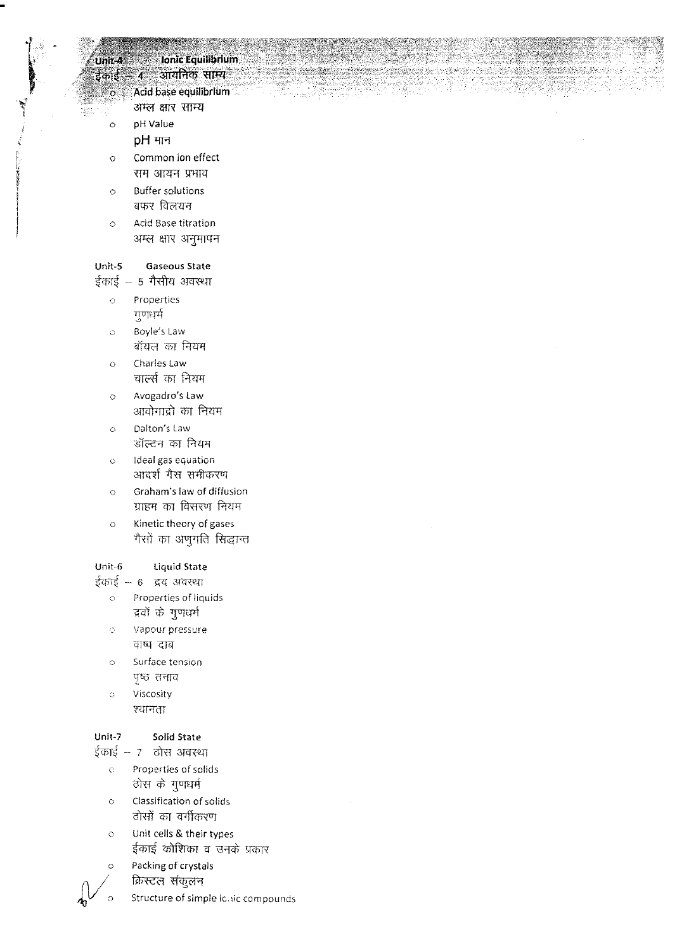# Unit-4 Ionic Equilibrium .<br>ईकोई – 4 - आयनिक साम्य

Acid base equilibrium

- अम्ल क्षार साम्य
- 0 pH Value

÷.

- $pH$  मान
- 0 Common ion effect सम आयन प्रभाव
- 0 Buffer solutions बफर विलयन
- 0 Acid Base titration अम्ल क्षार अनुमापन

### Unit-S Gaseous State

ईकाई – 5 गैसीय अवस्था

- 0 Properties गुणधर्म
- 0 Boyle's Law बॉयल का नियम
- 0 Charles Law चार्ल्स का नियम
- 0 Avogadro's Law आवोगाद्रो का नियम
- 0 Dalton's Law डॉल्टन का नियम
- 0 Ideal gas equation आदर्श गैस समीकरण
- 0 Graham's law of diffusion ग्राहम का विसरण नियम
- 0 Kinetic theory of gases गैसों का अणुगति सिद्धान्त

### Unit-6 liquid State

ईकाई – 6 व्रद अवस्था

- 0 Properties of liquids "द्रवों के गुणधर्म
- $\ddot{\circ}$ Vapour pressure वाष्पं दाब
- 0 Surface tension पृष्ठ तनाव
- 0 Viscosity श्यानता

# Unit-7 Solid State

 $\frac{1}{5}$ काई – 7  $\frac{1}{5}$  ठोस अवस्था

- o Properties of solids ठोस के गुणधर्म
- o Classification of solids ठोसों का वर्गीकरण
- Unit cells & their types ईकाई कोशिका व उनके प्रकार o
- Packing of crystals o
	- क्रिस्टल संकुलन
	- Structure of simple ic.iic compounds